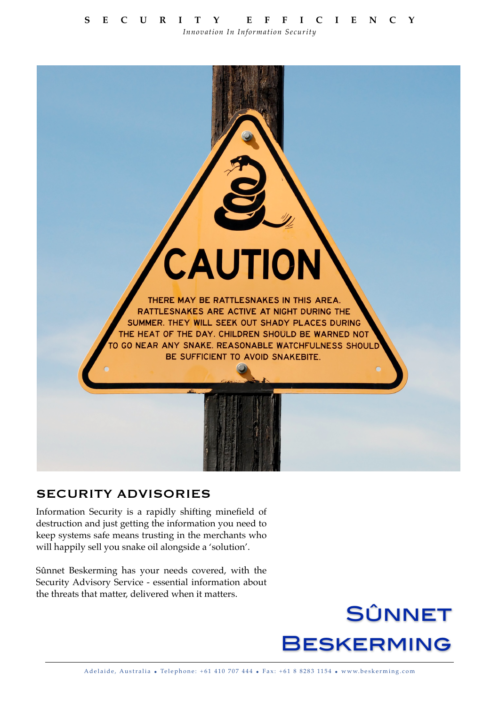*Innovation In Information Security*



# SECURITY ADVISORIES

Information Security is a rapidly shifting minefield of destruction and just getting the information you need to keep systems safe means trusting in the merchants who will happily sell you snake oil alongside a 'solution'.

Sûnnet Beskerming has your needs covered, with the Security Advisory Service - essential information about the threats that matter, delivered when it matters.

# **SÛNNET BESKERMING**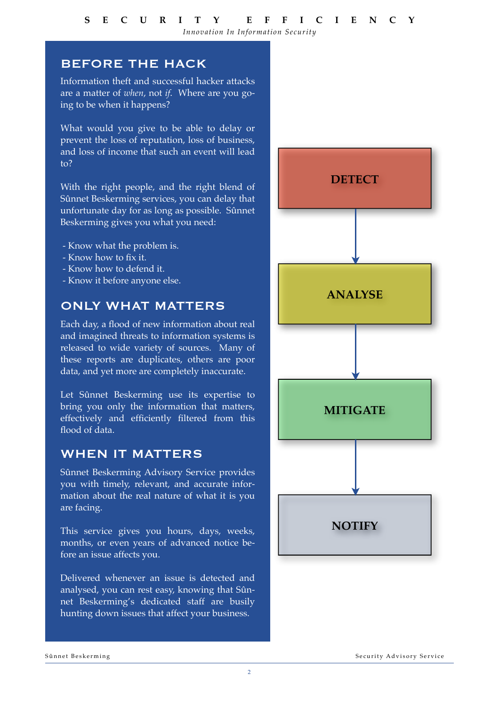## BEFORE THE HACK

Information theft and successful hacker attacks are a matter of *when*, not *if*. Where are you going to be when it happens?

What would you give to be able to delay or prevent the loss of reputation, loss of business, and loss of income that such an event will lead to?

With the right people, and the right blend of Sûnnet Beskerming services, you can delay that unfortunate day for as long as possible. Sûnnet Beskerming gives you what you need:

- Know what the problem is.
- Know how to fix it.
- Know how to defend it.
- Know it before anyone else.

# ONLY WHAT MATTERS

Each day, a flood of new information about real and imagined threats to information systems is released to wide variety of sources. Many of these reports are duplicates, others are poor data, and yet more are completely inaccurate.

Let Sûnnet Beskerming use its expertise to bring you only the information that matters, effectively and efficiently filtered from this flood of data.

## WHEN IT MATTERS

Sûnnet Beskerming Advisory Service provides you with timely, relevant, and accurate information about the real nature of what it is you are facing.

This service gives you hours, days, weeks, months, or even years of advanced notice before an issue affects you.

Delivered whenever an issue is detected and analysed, you can rest easy, knowing that Sûnnet Beskerming's dedicated staff are busily hunting down issues that affect your business.